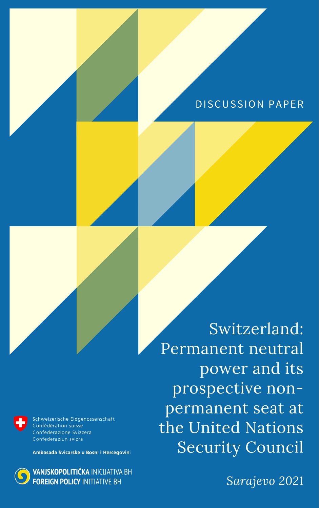# DISCUSSION PAPER



Schweizerische Eidgenossenschaft Confédération suisse Confederazione Svizzera Confederaziun svizra

Ambasada Švicarske u Bosni i Hercegovini



Switzerland: Permanent neutral power and its prospective nonpermanent seat at the United Nations **Security Council** 

Sarajevo 2021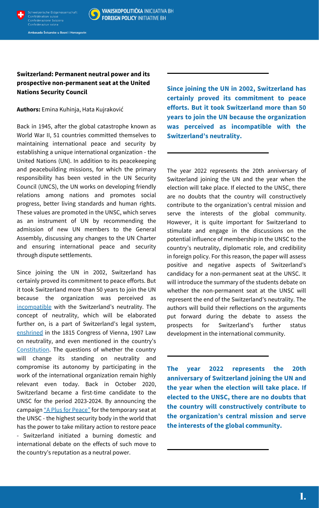



VANJSKOPOLITIČKA INICIJATIVA BH **FOREIGN POLICY INITIATIVE BH** 

Ambasada Švicarske u Bosni i Hercegovini

## **Switzerland: Permanent neutral power and its prospective non-permanent seat at the United Nations Security Council**

**Authors:** Emina Kuhinja, Hata Kujraković

Back in 1945, after the global catastrophe known as World War II, 51 countries committed themselves to maintaining international peace and security by establishing a unique international organization - the United Nations (UN). In addition to its peacekeeping and peacebuilding missions, for which the primary responsibility has been vested in the UN Security Council (UNCS), the UN works on developing friendly relations among nations and promotes social progress, better living standards and human rights. These values are promoted in the UNSC, which serves as an instrument of UN by recommending the admission of new UN members to the General Assembly, discussing any changes to the UN Charter and ensuring international peace and security through dispute settlements.

Since joining the UN in 2002, Switzerland has certainly proved its commitment to peace efforts. But it took Switzerland more than 50 years to join the UN because the organization was perceived as [incompatible](https://go.gale.com/ps/i.do?id=GALE%7CA90984132&sid=googleScholar&v=2.1&it=r&linkaccess=abs&issn=07391854&p=AONE&sw=w&userGroupName=anon%7E808b27b3) with the Switzerland's neutrality. The concept of neutrality, which will be elaborated further on, is a part of Switzerland's legal system, [enshrined](https://www.eda.admin.ch/dam/eda/en/documents/aussenpolitik/voelkerrecht/Swiss%20neutrality.pdf) in the 1815 Congress of Vienna, 1907 Law on neutrality, and even mentioned in the country's [Constitution](https://fedlex.data.admin.ch/filestore/fedlex.data.admin.ch/eli/cc/1999/404/20210101/en/pdf-a/fedlex-data-admin-ch-eli-cc-1999-404-20210101-en-pdf-a.pdf). The questions of whether the country will change its standing on neutrality and compromise its autonomy by participating in the work of the international organization remain highly relevant even today. Back in October 2020, Switzerland became a first-time candidate to the UNSC for the period 2023-2024. By announcing the campaign "A Plus for [Peace"](https://www.aplusforpeace.ch/) for the temporary seat at the UNSC - the highest security body in the world that has the power to take military action to restore peace - Switzerland initiated a burning domestic and international debate on the effects of such move to the country's reputation as a neutral power.

**Since joining the UN in 2002, Switzerland has certainly proved its commitment to peace efforts. But it took Switzerland more than 50 years to join the UN because the organization was perceived as incompatible with the Switzerland's neutrality.**

The year 2022 represents the 20th anniversary of Switzerland joining the UN and the year when the election will take place. If elected to the UNSC, there are no doubts that the country will constructively contribute to the organization's central mission and serve the interests of the global community. However, it is quite important for Switzerland to stimulate and engage in the discussions on the potential influence of membership in the UNSC to the country's neutrality, diplomatic role, and credibility in foreign policy. For this reason, the paper will assess positive and negative aspects of Switzerland's candidacy for a non-permanent seat at the UNSC. It will introduce the summary of the students debate on whether the non-permanent seat at the UNSC will represent the end of the Switzerland's neutrality. The authors will build their reflections on the arguments put forward during the debate to assess the prospects for Switzerland's further status development in the international community.

**The year 2022 represents the 20th anniversary of Switzerland joining the UN and the year when the election will take place. If elected to the UNSC, there are no doubts that the country will constructively contribute to the organization's central mission and serve the interests of the global community.**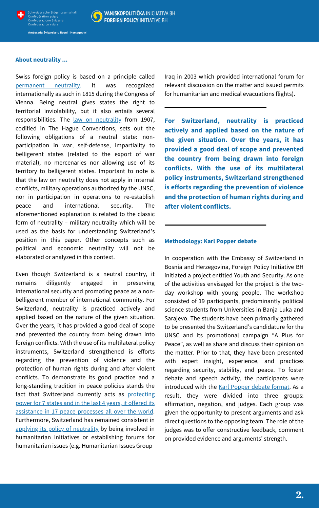

### **VANJSKOPOLITIČKA INICIJATIVA BH FOREIGN POLICY INITIATIVE BH**

Ambasada Švicarske u Bosni i Hercegovini

#### **About neutrality ...**

Swiss foreign policy is based on a principle called [permanent](https://www.eda.admin.ch/eda/en/home/foreign-policy/international-law/neutrality.html) neutrality. It was recognized internationally as such in 1815 during the Congress of Vienna. Being neutral gives states the right to territorial inviolability, but it also entails several responsibilities. The law on [neutrality](https://www.eda.admin.ch/eda/en/home/foreign-policy/international-law/neutrality.html) from 1907, codified in The Hague Conventions, sets out the following obligations of a neutral state: nonparticipation in war, self-defense, impartiality to belligerent states (related to the export of war material), no mercenaries nor allowing use of its territory to belligerent states. Important to note is that the law on neutrality does not apply in internal conflicts, military operations authorized by the UNSC, nor in participation in operations to re-establish peace and international security. The aforementioned explanation is related to the classic form of neutrality – military neutrality which will be used as the basis for understanding Switzerland's position in this paper. Other concepts such as political and economic neutrality will not be elaborated or analyzed in this context.

Even though Switzerland is a neutral country, it remains diligently engaged in preserving international security and promoting peace as a nonbelligerent member of international community. For Switzerland, neutrality is practiced actively and applied based on the nature of the given situation. Over the years, it has provided a good deal of scope and prevented the country from being drawn into foreign conflicts. With the use of its multilateral policy instruments, Switzerland strengthened is efforts regarding the prevention of violence and the protection of human rights during and after violent conflicts. To demonstrate its good practice and a long-standing tradition in peace policies stands the fact that [Switzerland](https://www.swissinfo.ch/eng/too-small-to-succeed--switzerland-s-candidacy-for-the-un-security-council/46050170) currently acts as protecting power for 7 states and in the last 4 years, it offered its assistance in 17 peace processes all over the world. Furthermore, Switzerland has remained consistent in applying its policy of [neutrality](https://www.eda.admin.ch/dam/eda/en/documents/aussenpolitik/voelkerrecht/Swiss%20neutrality.pdf) by being involved in humanitarian initiatives or establishing forums for humanitarian issues (e.g. Humanitarian Issues Group

Iraq in 2003 which provided international forum for relevant discussion on the matter and issued permits for humanitarian and medical evacuations flights).

**For Switzerland, neutrality is practiced actively and applied based on the nature of the given situation. Over the years, it has provided a good deal of scope and prevented the country from being drawn into foreign conflicts. With the use of its multilateral policy instruments, Switzerland strengthened is efforts regarding the prevention of violence and the protection of human rights during and after violent conflicts.**

#### **Methodology: Karl Popper debate**

In cooperation with the Embassy of Switzerland in Bosnia and Herzegovina, Foreign Policy Initiative BH initiated a project entitled Youth and Security. As one of the activities envisaged for the project is the twoday workshop with young people. The workshop consisted of 19 participants, predominantly political science students from Universities in Banja Luka and Sarajevo. The students have been primarily gathered to be presented the Switzerland's candidature for the UNSC and its promotional campaign "A Plus for Peace" , as well as share and discuss their opinion on the matter. Prior to that, they have been presented with expert insight, experience, and practices regarding security, stability, and peace. To foster debate and speech activity, the participants were introduced with the Karl [Popper](https://debatovani.cz/wp-content/uploads/2018/11/181119_KP-debate-programme-rules.pdf) debate format. As a result, they were divided into three groups: affirmation, negation, and judges. Each group was given the opportunity to present arguments and ask direct questions to the opposing team. The role of the judges was to offer constructive feedback, comment on provided evidence and arguments' strength.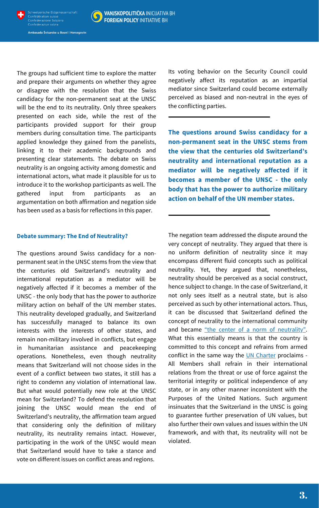



Ambasada Švicarske u Bosni i Hercegovini

The groups had sufficient time to explore the matter and prepare their arguments on whether they agree or disagree with the resolution that the Swiss candidacy for the non-permanent seat at the UNSC will be the end to its neutrality. Only three speakers presented on each side, while the rest of the participants provided support for their group members during consultation time. The participants applied knowledge they gained from the panelists, linking it to their academic backgrounds and presenting clear statements. The debate on Swiss neutrality is an ongoing activity among domestic and international actors, what made it plausible for us to introduce it to the workshop participants as well. The gathered input from participants as an argumentation on both affirmation and negation side has been used as a basis for reflections in this paper.

#### **Debate summary: The End of Neutrality?**

The questions around Swiss candidacy for a nonpermanent seat in the UNSC stems from the view that the centuries old Switzerland's neutrality and international reputation as a mediator will be negatively affected if it becomes a member of the UNSC - the only body that has the power to authorize military action on behalf of the UN member states. This neutrality developed gradually, and Switzerland has successfully managed to balance its own interests with the interests of other states, and remain non-military involved in conflicts, but engage in humanitarian assistance and peacekeeping operations. Nonetheless, even though neutrality means that Switzerland will not choose sides in the event of a conflict between two states, it still has a right to condemn any violation of international law. But what would potentially new role at the UNSC mean for Switzerland? To defend the resolution that joining the UNSC would mean the end of Switzerland's neutrality, the affirmation team argued that considering only the definition of military neutrality, its neutrality remains intact. However, participating in the work of the UNSC would mean that Switzerland would have to take a stance and vote on different issues on conflict areas and regions.

Its voting behavior on the Security Council could negatively affect its reputation as an impartial mediator since Switzerland could become externally perceived as biased and non-neutral in the eyes of the conflicting parties.

**The questions around Swiss candidacy for a non-permanent seat in the UNSC stems from the view that the centuries old Switzerland's neutrality and international reputation as a mediator will be negatively affected if it becomes a member of the UNSC - the only body that has the power to authorize military action on behalf of the UN member states.**

The negation team addressed the dispute around the very concept of neutrality. They argued that there is no uniform definition of neutrality since it may encompass different fluid concepts such as political neutrality. Yet, they argued that, nonetheless, neutrality should be perceived as a social construct, hence subject to change. In the case of Switzerland, it not only sees itself as a neutral state, but is also perceived as such by other international actors. Thus, it can be discussed that Switzerland defined the concept of neutrality to the international community and became "the center of a norm of [neutrality".](https://www.google.com/search?q=switzerlands+neutrality+as+a+social+construct&sxsrf=AOaemvLswipuIW8CRXw7hbjoy2ZmJSfJOw%3A1638351558194&ei=xkKnYfGrC4ThkgWwyYPgBQ&ved=0ahUKEwjxppKVp8L0AhWEsKQKHbDkAFwQ4dUDCA0&uact=5&oq=switzerlands+neutrality+as+a+social+construct&gs_lcp=Cgdnd3Mtd2l6EANKBAhBGAFQjAVYrBRg4hZoAXAAeACAAZ0BiAGrDJIBBDAuMTOYAQCgAQHAAQE&sclient=gws-wiz) What this essentially means is that the country is committed to this concept and refrains from armed conflict in the same way the UN [Charter](https://www.un.org/en/about-us/un-charter/full-text) proclaims -All Members shall refrain in their international relations from the threat or use of force against the territorial integrity or political independence of any state, or in any other manner inconsistent with the Purposes of the United Nations. Such argument insinuates that the Switzerland in the UNSC is going to guarantee further preservation of UN values, but also further their own values and issues within the UN framework, and with that, its neutrality will not be violated.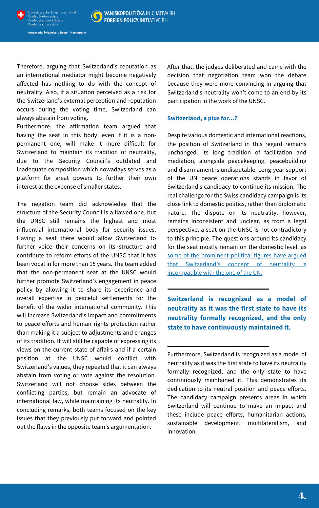



**VANJSKOPOLITIČKA INICIJATIVA BH FOREIGN POLICY INITIATIVE BH** 

Ambasada Švicarske u Bosni i Hercegovini

Therefore, arguing that Switzerland's reputation as an international mediator might become negatively affected has nothing to do with the concept of neutrality. Also, if a situation perceived as a risk for the Switzerland's external perception and reputation occurs during the voting time, Switzerland can always abstain from voting.

Furthermore, the affirmation team argued that having the seat in this body, even if it is a nonpermanent one, will make it more difficult for Switzerland to maintain its tradition of neutrality, due to the Security Council's outdated and inadequate composition which nowadays serves as a platform for great powers to further their own interest at the expense of smaller states.

The negation team did acknowledge that the structure of the Security Council is a flawed one, but the UNSC still remains the highest and most influential international body for security issues. Having a seat there would allow Switzerland to further voice their concerns on its structure and contribute to reform efforts of the UNSC that it has been vocal in for more than 15 years. The team added that the non-permanent seat at the UNSC would further promote Switzerland's engagement in peace policy by allowing it to share its experience and overall expertise in peaceful settlements for the benefit of the wider international community. This will increase Switzerland's impact and commitments to peace efforts and human rights protection rather than making it a subject to adjustments and changes of its tradition. It will still be capable of expressing its views on the current state of affairs and if a certain position at the UNSC would conflict with Switzerland's values, they repeated that it can always abstain from voting or vote against the resolution. Switzerland will not choose sides between the conflicting parties, but remain an advocate of international law, while maintaining its neutrality. In concluding remarks, both teams focused on the key issues that they previously put forward and pointed out the flaws in the opposite team's argumentation.

After that, the judges deliberated and came with the decision that negotiation team won the debate because they were more convincing in arguing that Switzerland's neutrality won't come to an end by its participation in the work of the UNSC.

#### **Switzerland, a plus for...?**

Despite various domestic and international reactions, the position of Switzerland in this regard remains unchanged. Its long tradition of facilitation and mediation, alongside peacekeeping, peacebuilding and disarmament is undisputable. Long-year support of the UN peace operations stands in favor of Switzerland's candidacy to continue its mission. The real challenge for the Swiss candidacy campaign is its close link to domestic politics, rather than diplomatic nature. The dispute on its neutrality, however, remains inconsistent and unclear, as from a legal perspective, a seat on the UNSC is not contradictory to this principle. The questions around its candidacy for the seat mostly remain on the domestic level, as some of the prominent political figures have argued that [Switzerland's](https://foreignpolicy.com/2021/01/15/switzerland-neutral-united-nations-security-council-seat/) concept of neutrality is

incompatible with the one of the UN.

**Switzerland is recognized as a model of neutrality as it was the first state to have its neutrality formally recognized, and the only state to have continuously maintained it.**

Furthermore, Switzerland is recognized as a model of neutrality as it was the first state to have its neutrality formally recognized, and the only state to have continuously maintained it. This demonstrates its dedication to its neutral position and peace efforts. The candidacy campaign presents areas in which Switzerland will continue to make an impact and these include peace efforts, humanitarian actions, sustainable development, multilateralism, and innovation.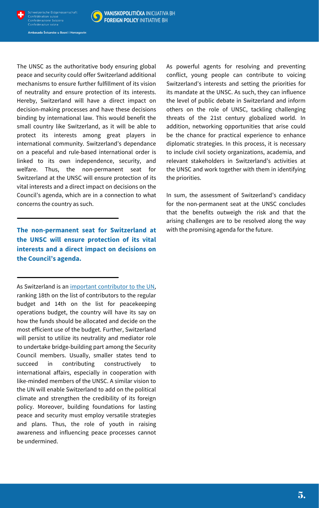



Ambasada Švicarske u Bosni i Hercegovini

The UNSC as the authoritative body ensuring global peace and security could offer Switzerland additional mechanisms to ensure further fulfillment of its vision of neutrality and ensure protection of its interests. Hereby, Switzerland will have a direct impact on decision-making processes and have these decisions binding by international law. This would benefit the small country like Switzerland, as it will be able to protect its interests among great players in international community. Switzerland's dependance on a peaceful and rule-based international order is linked to its own independence, security, and welfare. Thus, the non-permanent seat for Switzerland at the UNSC will ensure protection of its vital interests and a direct impact on decisions on the Council's agenda, which are in a connection to what concerns the country as such.

**The non-permanent seat for Switzerland at the UNSC will ensure protection of its vital interests and a direct impact on decisions on the Council's agenda.**

As Switzerland is an important [contributor](https://www.eda.admin.ch/dam/eda/en/documents/aussenpolitik/internationale-organisationen/Finanzierung-UNO_EN.pdf) to the UN, ranking 18th on the list of contributors to the regular budget and 14th on the list for peacekeeping operations budget, the country will have its say on how the funds should be allocated and decide on the most efficient use of the budget. Further, Switzerland will persist to utilize its neutrality and mediator role to undertake bridge-building part among the Security Council members. Usually, smaller states tend to succeed in contributing constructively to international affairs, especially in cooperation with like-minded members of the UNSC. A similar vision to the UN will enable Switzerland to add on the political climate and strengthen the credibility of its foreign policy. Moreover, building foundations for lasting peace and security must employ versatile strategies and plans. Thus, the role of youth in raising awareness and influencing peace processes cannot be undermined.

As powerful agents for resolving and preventing conflict, young people can contribute to voicing Switzerland's interests and setting the priorities for its mandate at the UNSC. As such, they can influence the level of public debate in Switzerland and inform others on the role of UNSC, tackling challenging threats of the 21st century globalized world. In addition, networking opportunities that arise could be the chance for practical experience to enhance diplomatic strategies. In this process, it is necessary to include civil society organizations, academia, and relevant stakeholders in Switzerland's activities at the UNSC and work together with them in identifying the priorities.

In sum, the assessment of Switzerland's candidacy for the non-permanent seat at the UNSC concludes that the benefits outweigh the risk and that the arising challenges are to be resolved along the way with the promising agenda for the future.